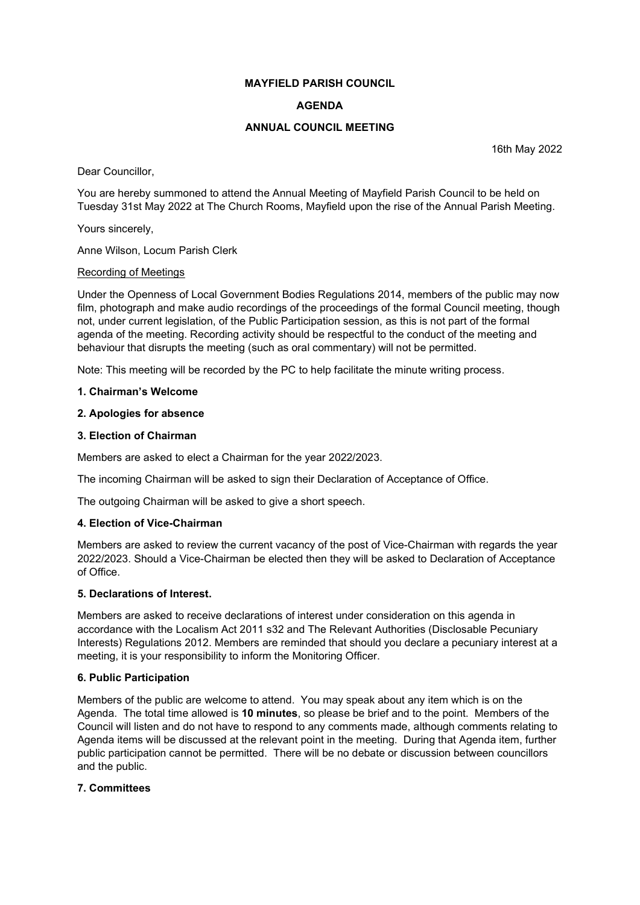### MAYFIELD PARISH COUNCIL

# AGENDA

# ANNUAL COUNCIL MEETING

16th May 2022

Dear Councillor,

You are hereby summoned to attend the Annual Meeting of Mayfield Parish Council to be held on Tuesday 31st May 2022 at The Church Rooms, Mayfield upon the rise of the Annual Parish Meeting.

Yours sincerely,

Anne Wilson, Locum Parish Clerk

### Recording of Meetings

Under the Openness of Local Government Bodies Regulations 2014, members of the public may now film, photograph and make audio recordings of the proceedings of the formal Council meeting, though not, under current legislation, of the Public Participation session, as this is not part of the formal agenda of the meeting. Recording activity should be respectful to the conduct of the meeting and behaviour that disrupts the meeting (such as oral commentary) will not be permitted.

Note: This meeting will be recorded by the PC to help facilitate the minute writing process.

### 1. Chairman's Welcome

### 2. Apologies for absence

### 3. Election of Chairman

Members are asked to elect a Chairman for the year 2022/2023.

The incoming Chairman will be asked to sign their Declaration of Acceptance of Office.

The outgoing Chairman will be asked to give a short speech.

## 4. Election of Vice-Chairman

Members are asked to review the current vacancy of the post of Vice-Chairman with regards the year 2022/2023. Should a Vice-Chairman be elected then they will be asked to Declaration of Acceptance of Office.

#### 5. Declarations of Interest.

Members are asked to receive declarations of interest under consideration on this agenda in accordance with the Localism Act 2011 s32 and The Relevant Authorities (Disclosable Pecuniary Interests) Regulations 2012. Members are reminded that should you declare a pecuniary interest at a meeting, it is your responsibility to inform the Monitoring Officer.

#### 6. Public Participation

Members of the public are welcome to attend. You may speak about any item which is on the Agenda. The total time allowed is 10 minutes, so please be brief and to the point. Members of the Council will listen and do not have to respond to any comments made, although comments relating to Agenda items will be discussed at the relevant point in the meeting. During that Agenda item, further public participation cannot be permitted. There will be no debate or discussion between councillors and the public.

#### 7. Committees